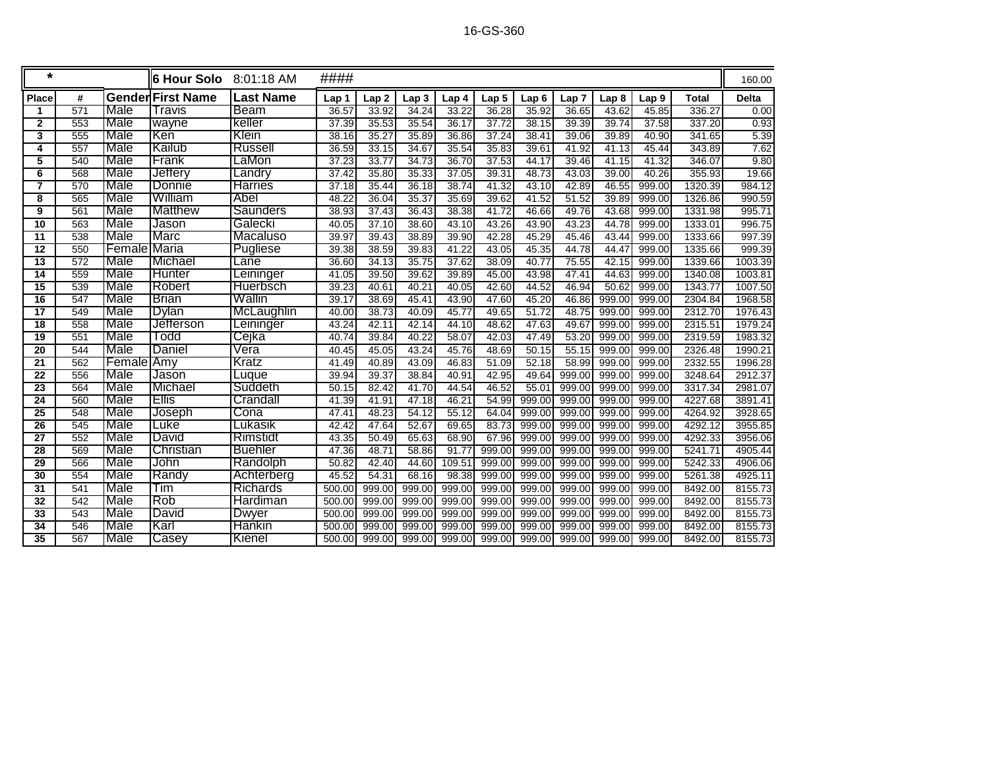| $\star$         |     |              | <b>6 Hour Solo</b>       | 8:01:18 AM      | ####   |                  |                  |        |        |                  |                  |                  |                  |              | 160.00       |
|-----------------|-----|--------------|--------------------------|-----------------|--------|------------------|------------------|--------|--------|------------------|------------------|------------------|------------------|--------------|--------------|
| <b>Place</b>    | #   |              | <b>Gender First Name</b> | Last Name       | Lap 1  | Lap <sub>2</sub> | Lap <sub>3</sub> | Lap 4  | Lap 5  | Lap <sub>6</sub> | Lap <sub>7</sub> | Lap <sub>8</sub> | Lap <sub>9</sub> | <b>Total</b> | <b>Delta</b> |
| 1               | 571 | Male         | Travis                   | Beam            | 36.57  | 33.92            | 34.24            | 33.22  | 36.28  | 35.92            | 36.65            | 43.62            | 45.85            | 336.27       | 0.00         |
| $\overline{2}$  | 553 | Male         | wayne                    | keller          | 37.39  | 35.53            | 35.54            | 36.17  | 37.72  | 38.15            | 39.39            | 39.74            | 37.58            | 337.20       | 0.93         |
| 3               | 555 | Male         | lKen                     | Klein           | 38.16  | 35.27            | 35.89            | 36.86  | 37.24  | 38.41            | 39.06            | 39.89            | 40.90            | 341.65       | 5.39         |
| 4               | 557 | Male         | <b>Kailub</b>            | <b>Russell</b>  | 36.59  | 33.15            | 34.67            | 35.54  | 35.83  | 39.61            | 41.92            | 41.13            | 45.44            | 343.89       | 7.62         |
| 5               | 540 | Male         | Frank                    | LaMon           | 37.23  | 33.77            | 34.73            | 36.70  | 37.53  | 44.17            | 39.46            | 41.15            | 41.32            | 346.07       | 9.80         |
| 6               | 568 | Male         | <b>Jefferv</b>           | Landry          | 37.42  | 35.80            | 35.33            | 37.05  | 39.31  | 48.73            | 43.03            | 39.00            | 40.26            | 355.93       | 19.66        |
| 7               | 570 | Male         | <b>Donnie</b>            | <b>Harries</b>  | 37.18  | 35.44            | 36.18            | 38.74  | 41.32  | 43.10            | 42.89            | 46.55            | 999.00           | 1320.39      | 984.12       |
| 8               | 565 | Male         | William                  | Abel            | 48.22  | 36.04            | 35.37            | 35.69  | 39.62  | 41.52            | 51.52            | 39.89            | 999.00           | 1326.86      | 990.59       |
| 9               | 561 | Male         | <b>Matthew</b>           | <b>Saunders</b> | 38.93  | 37.43            | 36.43            | 38.38  | 41.72  | 46.66            | 49.76            | 43.68            | 999.00           | 1331.98      | 995.71       |
| $\overline{10}$ | 563 | Male         | Jason                    | Galecki         | 40.05  | 37.10            | 38.60            | 43.10  | 43.26  | 43.90            | 43.23            | 44.78            | 999.00           | 1333.01      | 996.75       |
| 11              | 538 | Male         | <b>Marc</b>              | Macaluso        | 39.97  | 39.43            | 38.89            | 39.90  | 42.28  | 45.29            | 45.46            | 43.44            | 999.00           | 1333.66      | 997.39       |
| $\overline{12}$ | 550 | FemaleIMaria |                          | <b>Pugliese</b> | 39.38  | 38.59            | 39.83            | 41.22  | 43.05  | 45.35            | 44.78            | 44.47            | 999.00           | 1335.66      | 999.39       |
| $\overline{13}$ | 572 | Male         | Michael                  | Lane            | 36.60  | 34.13            | 35.75            | 37.62  | 38.09  | 40.77            | 75.55            | 42.15            | 999.00           | 1339.66      | 1003.39      |
| 14              | 559 | Male         | <b>Hunter</b>            | Leininger       | 41.05  | 39.50            | 39.62            | 39.89  | 45.00  | 43.98            | 47.41            | 44.63            | 999.00           | 1340.08      | 1003.81      |
| $\overline{15}$ | 539 | Male         | Robert                   | <b>Huerbsch</b> | 39.23  | 40.61            | 40.21            | 40.05  | 42.60  | 44.52            | 46.94            | 50.62            | 999.00           | 1343.77      | 1007.50      |
| $\overline{16}$ | 547 | Male         | <b>Brian</b>             | Wallin          | 39.17  | 38.69            | 45.41            | 43.90  | 47.60  | 45.20            | 46.86            | 999.00           | 999.00           | 2304.84      | 1968.58      |
| 17              | 549 | Male         | Dylan                    | McLaughlin      | 40.00  | 38.73            | 40.09            | 45.77  | 49.65  | 51.72            | 48.75            | 999.00           | 999.00           | 2312.70      | 1976.43      |
| $\overline{18}$ | 558 | Male         | <b>Jefferson</b>         | Leininger       | 43.24  | 42.11            | 42.14            | 44.10  | 48.62  | 47.63            | 49.67            | 999.00           | 999.00           | 2315.51      | 1979.24      |
| $\overline{19}$ | 551 | Male         | Todd                     | Cejka           | 40.74  | 39.84            | 40.22            | 58.07  | 42.03  | 47.49            | 53.20            | 999.00           | 999.00           | 2319.59      | 1983.32      |
| $\overline{20}$ | 544 | Male         | Daniel                   | Vera            | 40.45  | 45.05            | 43.24            | 45.76  | 48.69  | 50.15            | 55.15            | 999.00           | 999.00           | 2326.48      | 1990.21      |
| 21              | 562 | Female Amy   |                          | Kratz           | 41.49  | 40.89            | 43.09            | 46.83  | 51.09  | 52.18            | 58.99            | 999.00           | 999.00           | 2332.55      | 1996.28      |
| 22              | 556 | Male         | Jason                    | Luque           | 39.94  | 39.37            | 38.84            | 40.91  | 42.95  | 49.64            | 999.00           | 999.00           | 999.00           | 3248.64      | 2912.37      |
| 23              | 564 | <b>Male</b>  | <b>Michael</b>           | Suddeth         | 50.15  | 82.42            | 41.70            | 44.54  | 46.52  | 55.01            | 999.00           | 999.00           | 999.00           | 3317.34      | 2981.07      |
| 24              | 560 | Male         | <b>Ellis</b>             | Crandall        | 41.39  | 41.91            | 47.18            | 46.21  | 54.99  | 999.00           | 999.00           | 999.00           | 999.00           | 4227.68      | 3891.41      |
| $\overline{25}$ | 548 | Male         | Joseph                   | Cona            | 47.41  | 48.23            | 54.12            | 55.12  | 64.04  | 999.00           | 999.00           | 999.00           | 999.00           | 4264.92      | 3928.65      |
| $\overline{26}$ | 545 | Male         | Luke                     | Lukasik         | 42.42  | 47.64            | 52.67            | 69.65  | 83.73  | 999.00           | 999.00           | 999.00           | 999.00           | 4292.12      | 3955.85      |
| $\overline{27}$ | 552 | Male         | David                    | <b>Rimstidt</b> | 43.35  | 50.49            | 65.63            | 68.90  | 67.96  | 999.00           | 999.00           | 999.00           | 999.00           | 4292.33      | 3956.06      |
| $\overline{28}$ | 569 | Male         | Christian                | <b>Buehler</b>  | 47.36  | 48.71            | 58.86            | 91.77  | 999.00 | 999.00           | 999.00           | 999.00           | 999.00           | 5241.71      | 4905.44      |
| 29              | 566 | Male         | John                     | Randolph        | 50.82  | 42.40            | 44.60            | 109.51 | 999.00 | 999.00           | 999.00           | 999.00           | 999.00           | 5242.33      | 4906.06      |
| $\overline{30}$ | 554 | Male         | Randy                    | Achterberg      | 45.52  | 54.31            | 68.16            | 98.38  | 999.00 | 999.00           | 999.00           | 999.00           | 999.00           | 5261.38      | 4925.11      |
| $\overline{31}$ | 541 | Male         | Tim                      | <b>Richards</b> | 500.00 | 999.00           | 999.00           | 999.00 | 999.00 | 999.00           | 999.00           | 999.00           | 999.00           | 8492.00      | 8155.73      |
| $\overline{32}$ | 542 | Male         | <b>Rob</b>               | Hardiman        | 500.00 | 999.00           | 999.00           | 999.00 | 999.00 | 999.00           | 999.00           | 999.00           | 999.00           | 8492.00      | 8155.73      |
| 33              | 543 | Male         | David                    | Dwyer           | 500.00 | 999.00           | 999.00           | 999.00 | 999.00 | 999.00           | 999.00           | 999.00           | 999.00           | 8492.00      | 8155.73      |
| 34              | 546 | Male         | Karl                     | <b>Hankin</b>   | 500.00 | 999.00           | 999.00           | 999.00 | 999.00 | 999.00           | 999.00           | 999.00           | 999.00           | 8492.00      | 8155.73      |
| $\overline{35}$ | 567 | Male         | Casey                    | Kienel          | 500.00 | 999.00           | 999.00           | 999.00 | 999.00 | 999.00           | 999.00           | 999.00           | 999.00           | 8492.00      | 8155.73      |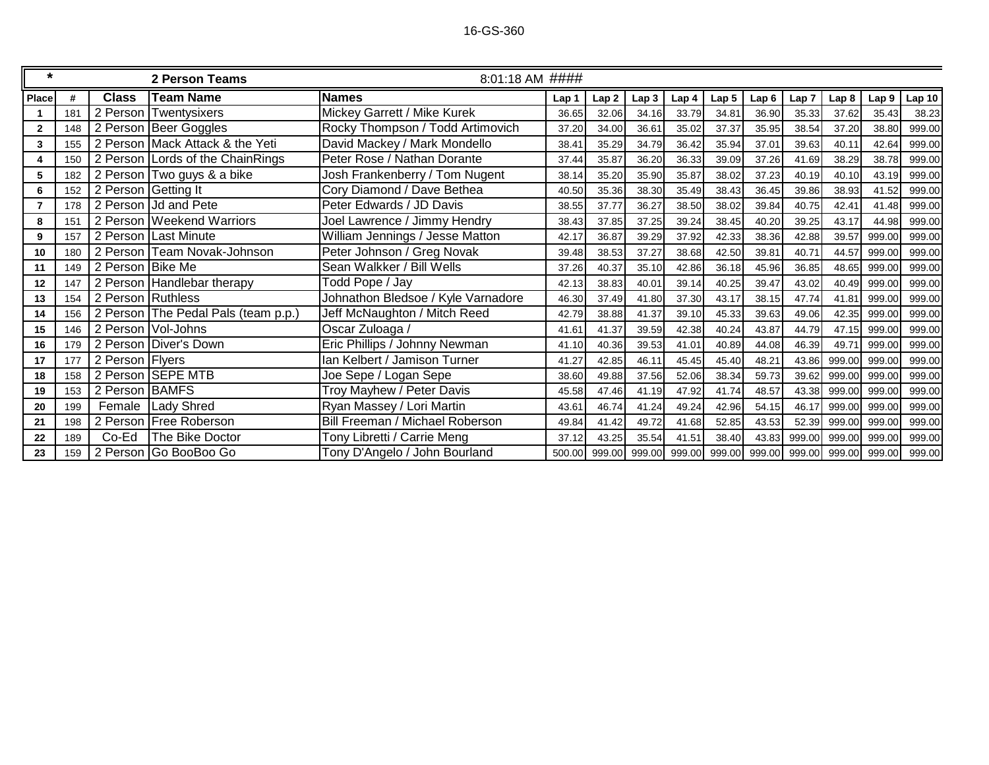## 16-GS-360

| $\star$        |     |                                  | 2 Person Teams                      | 8:01:18 AM ####                    |       |                  |                  |       |                                    |       |                  |                      |                  |                   |
|----------------|-----|----------------------------------|-------------------------------------|------------------------------------|-------|------------------|------------------|-------|------------------------------------|-------|------------------|----------------------|------------------|-------------------|
| <b>Place</b>   | #   | <b>Class</b><br><b>Team Name</b> |                                     | <b>Names</b>                       | Lap 1 | Lap <sub>2</sub> | Lap <sub>3</sub> | Lap 4 | Lap <sub>5</sub>                   | Lap6  | Lap <sub>7</sub> | Lap <sub>8</sub>     | Lap <sub>9</sub> | Lap <sub>10</sub> |
|                | 181 |                                  | 2 Person Twentysixers               | Mickey Garrett / Mike Kurek        | 36.65 | 32.06            | 34.16            | 33.79 | 34.81                              | 36.90 | 35.33            | 37.62                | 35.43            | 38.23             |
| $\overline{2}$ | 148 |                                  | 2 Person Beer Goggles               | Rocky Thompson / Todd Artimovich   | 37.20 | 34.00            | 36.61            | 35.02 | 37.37                              | 35.95 | 38.54            | 37.20                | 38.80            | 999.00            |
| 3              | 155 |                                  | 2 Person Mack Attack & the Yeti     | David Mackey / Mark Mondello       | 38.4' | 35.29            | 34.79            | 36.42 | 35.94                              | 37.01 | 39.63            | 40.11                | 42.64            | 999.00            |
| 4              | 150 |                                  | 2 Person Lords of the ChainRings    | Peter Rose / Nathan Dorante        | 37.44 | 35.87            | 36.20            | 36.33 | 39.09                              | 37.26 | 41.69            | 38.29                | 38.78            | 999.00            |
| 5              | 182 |                                  | 2 Person Two guys & a bike          | Josh Frankenberry / Tom Nugent     | 38.14 | 35.20            | 35.90            | 35.87 | 38.02                              | 37.23 | 40.19            | 40.10                | 43.19            | 999.00            |
| 6              | 152 |                                  | 2 Person Getting It                 | Cory Diamond / Dave Bethea         | 40.50 | 35.36            | 38.30            | 35.49 | 38.43                              | 36.45 | 39.86            | 38.93                | 41.52            | 999.00            |
| 7              | 178 |                                  | 2 Person   Jd and Pete              | Peter Edwards / JD Davis           | 38.55 | 37.77            | 36.27            | 38.50 | 38.02                              | 39.84 | 40.75            | 42.41                | 41.48            | 999.00            |
| 8              | 151 |                                  | 2 Person Weekend Warriors           | Joel Lawrence / Jimmy Hendry       | 38.43 | 37.85            | 37.25            | 39.24 | 38.45                              | 40.20 | 39.25            | 43.17                | 44.98            | 999.00            |
| 9              | 157 |                                  | 2 Person Last Minute                | William Jennings / Jesse Matton    | 42.17 | 36.87            | 39.29            | 37.92 | 42.33                              | 38.36 | 42.88            | 39.57                | 999.00           | 999.00            |
| 10             | 180 |                                  | 2 Person Team Novak-Johnson         | Peter Johnson / Greg Novak         | 39.48 | 38.53            | 37.27            | 38.68 | 42.50                              | 39.81 | 40.71            | 44.57                | 999.00           | 999.00            |
| 11             | 149 | 2 Person Bike Me                 |                                     | Sean Walkker / Bill Wells          | 37.26 | 40.37            | 35.10            | 42.86 | 36.18                              | 45.96 | 36.85            | 48.65                | 999.00           | 999.00            |
| 12             | 147 |                                  | 2 Person Handlebar therapy          | Todd Pope / Jay                    | 42.13 | 38.83            | 40.01            | 39.14 | 40.25                              | 39.47 | 43.02            | 40.49                | 999.00           | 999.00            |
| 13             | 154 | 2 Person Ruthless                |                                     | Johnathon Bledsoe / Kyle Varnadore | 46.30 | 37.49            | 41.80            | 37.30 | 43.17                              | 38.15 | 47.74            | 41.81                | 999.00           | 999.00            |
| 14             | 156 |                                  | 2 Person The Pedal Pals (team p.p.) | Jeff McNaughton / Mitch Reed       | 42.79 | 38.88            | 41.37            | 39.10 | 45.33                              | 39.63 | 49.06            | 42.35                | 999.00           | 999.00            |
| 15             | 146 |                                  | 2 Person Vol-Johns                  | Oscar Zuloaga /                    | 41.61 | 41.37            | 39.59            | 42.38 | 40.24                              | 43.87 | 44.79            | 47.15                | 999.00           | 999.00            |
| 16             | 179 |                                  | 2 Person Diver's Down               | Eric Phillips / Johnny Newman      | 41.10 | 40.36            | 39.53            | 41.01 | 40.89                              | 44.08 | 46.39            | 49.71                | 999.00           | 999.00            |
| 17             | 177 | 2 Person Flyers                  |                                     | Ian Kelbert / Jamison Turner       | 41.27 | 42.85            | 46.11            | 45.45 | 45.40                              | 48.21 | 43.86            | 999.00               | 999.00           | 999.00            |
| 18             | 158 |                                  | 2 Person SEPE MTB                   | Joe Sepe / Logan Sepe              | 38.60 | 49.88            | 37.56            | 52.06 | 38.34                              | 59.73 | 39.62            | 999.00               | 999.00           | 999.00            |
| 19             | 153 | 2 Person BAMFS                   |                                     | Troy Mayhew / Peter Davis          | 45.58 | 47.46            | 41.19            | 47.92 | 41.74                              | 48.57 | 43.38            | 999.00               | 999.00           | 999.00            |
| 20             | 199 |                                  | Female   Lady Shred                 | Ryan Massey / Lori Martin          | 43.61 | 46.74            | 41.24            | 49.24 | 42.96                              | 54.15 | 46.17            | 999.00               | 999.00           | 999.00            |
| 21             | 198 |                                  | 2 Person Free Roberson              | Bill Freeman / Michael Roberson    | 49.84 | 41.42            | 49.72            | 41.68 | 52.85                              | 43.53 | 52.39            | 999.00               | 999.00           | 999.00            |
| 22             | 189 | Co-Ed                            | The Bike Doctor                     | Tony Libretti / Carrie Meng        | 37.12 | 43.25            | 35.54            | 41.51 | 38.40                              | 43.83 | 999.00           | 999.00               | 999.00           | 999.00            |
| 23             | 159 |                                  | 2 Person Go BooBoo Go               | Tony D'Angelo / John Bourland      |       |                  |                  |       | 500.00 999.00 999.00 999.00 999.00 |       |                  | 999.00 999.00 999.00 | 999.00           | 999.00            |